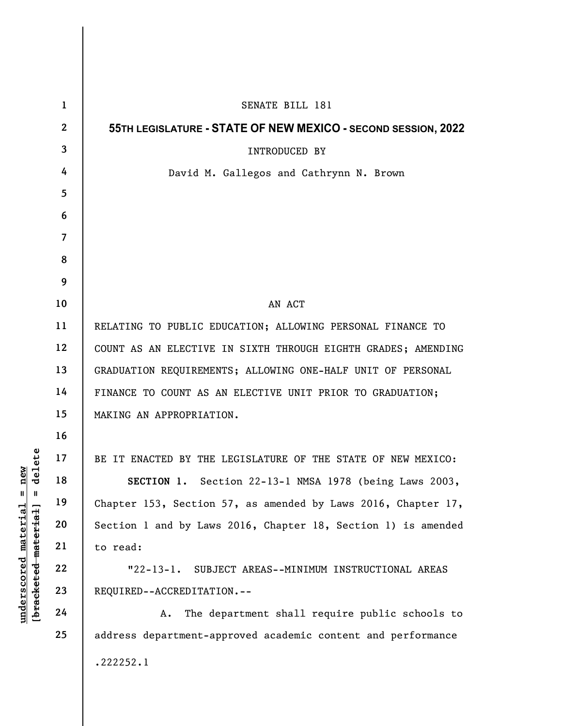|                                                             | $\mathbf{1}$   | SENATE BILL 181                                               |
|-------------------------------------------------------------|----------------|---------------------------------------------------------------|
|                                                             | $\mathbf{2}$   | 55TH LEGISLATURE - STATE OF NEW MEXICO - SECOND SESSION, 2022 |
|                                                             | 3              | INTRODUCED BY                                                 |
|                                                             | 4              | David M. Gallegos and Cathrynn N. Brown                       |
|                                                             | 5              |                                                               |
|                                                             | 6              |                                                               |
|                                                             | $\overline{7}$ |                                                               |
|                                                             | 8              |                                                               |
|                                                             | 9              |                                                               |
|                                                             | 10             | AN ACT                                                        |
|                                                             | 11             | RELATING TO PUBLIC EDUCATION; ALLOWING PERSONAL FINANCE TO    |
|                                                             | 12             | COUNT AS AN ELECTIVE IN SIXTH THROUGH EIGHTH GRADES; AMENDING |
|                                                             | 13             | GRADUATION REQUIREMENTS; ALLOWING ONE-HALF UNIT OF PERSONAL   |
|                                                             | 14             | FINANCE TO COUNT AS AN ELECTIVE UNIT PRIOR TO GRADUATION;     |
|                                                             | 15             | MAKING AN APPROPRIATION.                                      |
|                                                             | 16             |                                                               |
| elete<br>new<br>᠊ᢦ                                          | 17             | BE IT ENACTED BY THE LEGISLATURE OF THE STATE OF NEW MEXICO:  |
|                                                             | 18             | SECTION 1. Section 22-13-1 NMSA 1978 (being Laws 2003,        |
| $\mathsf{I}$<br>Ш                                           | 19             | Chapter 153, Section 57, as amended by Laws 2016, Chapter 17, |
|                                                             | 20             | Section 1 and by Laws 2016, Chapter 18, Section 1) is amended |
|                                                             | 21             | to read:                                                      |
|                                                             | 22             | $"22-13-1.$<br>SUBJECT AREAS--MINIMUM INSTRUCTIONAL AREAS     |
| [ <del>bracketed material</del> ]<br>$underscored$ material | 23             | REQUIRED--ACCREDITATION.--                                    |
|                                                             | 24             | The department shall require public schools to<br>A.          |
|                                                             | 25             | address department-approved academic content and performance  |
|                                                             |                | .222252.1                                                     |
|                                                             |                |                                                               |

I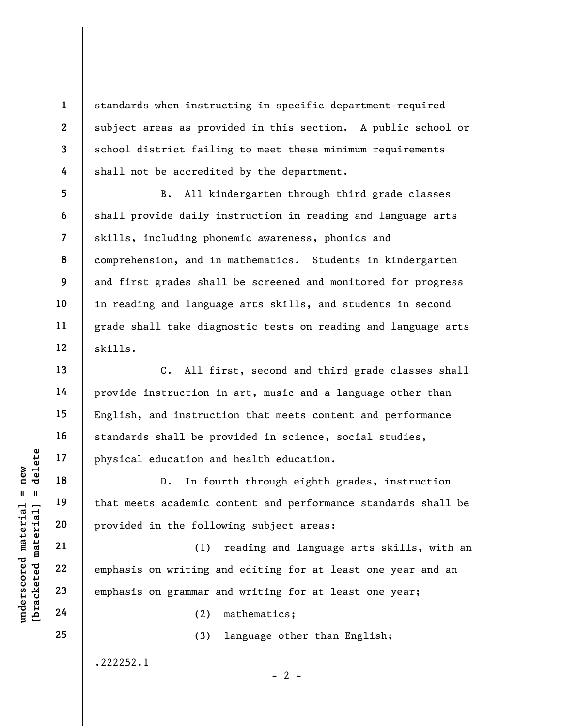standards when instructing in specific department-required subject areas as provided in this section. A public school or school district failing to meet these minimum requirements shall not be accredited by the department.

B. All kindergarten through third grade classes shall provide daily instruction in reading and language arts skills, including phonemic awareness, phonics and comprehension, and in mathematics. Students in kindergarten and first grades shall be screened and monitored for progress in reading and language arts skills, and students in second grade shall take diagnostic tests on reading and language arts skills.

C. All first, second and third grade classes shall provide instruction in art, music and a language other than English, and instruction that meets content and performance standards shall be provided in science, social studies, physical education and health education.

understand material education and<br>  $\begin{bmatrix}\n1 & 1 & 1 & 1 \\
0 & 1 & 1 & 1 & 1 \\
0 & 0 & 0 & 0 & 0 \\
0 & 0 & 0 & 0 & 0 \\
0 & 0 & 0 & 0 & 0 \\
0 & 0 & 0 & 0 & 0 \\
0 & 0 & 0 & 0 & 0 \\
0 & 0 & 0 & 0 & 0 \\
0 & 0 & 0 & 0 & 0 \\
0 & 0 & 0 & 0 & 0 \\
0 & 0 & 0 & 0 & 0 \\
0 & 0 & 0 & 0 & 0 \\
0 & 0 & 0 & 0 & 0 \\$ D. In fourth through eighth grades, instruction that meets academic content and performance standards shall be provided in the following subject areas:

(1) reading and language arts skills, with an emphasis on writing and editing for at least one year and an emphasis on grammar and writing for at least one year;

(2) mathematics;

(3) language other than English;

 $- 2 -$ 

.222252.1

1

2

3

4

5

6

7

8

9

10

11

12

13

14

15

16

17

18

19

20

21

22

23

24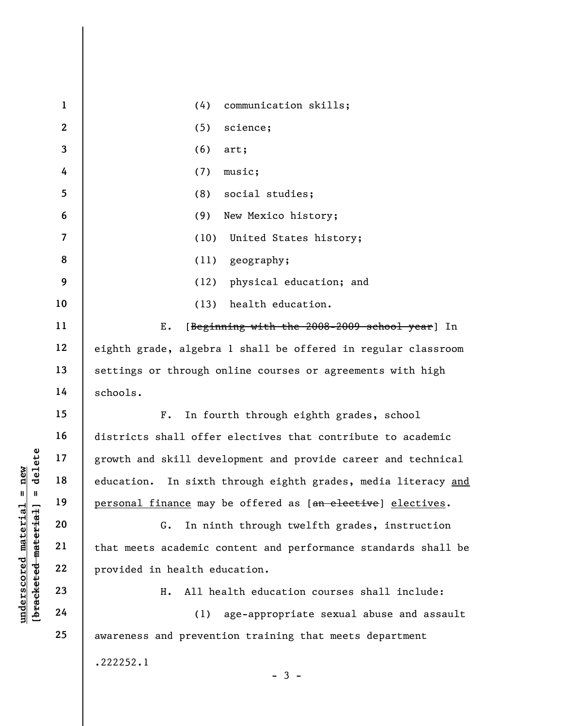|                                             | $\mathbf{1}$   | (4)<br>communication skills;                                     |
|---------------------------------------------|----------------|------------------------------------------------------------------|
|                                             | $\mathbf{2}$   | (5)<br>science;                                                  |
|                                             | $\mathbf{3}$   | (6)<br>art;                                                      |
|                                             | 4              | (7)<br>music;                                                    |
|                                             | 5              | social studies;<br>(8)                                           |
|                                             | 6              | New Mexico history;<br>(9)                                       |
|                                             | $\overline{7}$ | (10)<br>United States history;                                   |
|                                             | 8              | geography;<br>(11)                                               |
|                                             | 9              | physical education; and<br>(12)                                  |
|                                             | 10             | health education.<br>(13)                                        |
|                                             | 11             | Ε.<br>[Beginning with the 2008-2009 school year] In              |
|                                             | 12             | eighth grade, algebra 1 shall be offered in regular classroom    |
|                                             | 13             | settings or through online courses or agreements with high       |
|                                             | 14             | schools.                                                         |
|                                             | 15             | In fourth through eighth grades, school<br>$F$ .                 |
|                                             | 16             | districts shall offer electives that contribute to academic      |
| delete                                      | 17             | growth and skill development and provide career and technical    |
| new                                         | 18             | education.<br>In sixth through eighth grades, media literacy and |
| $\mathbf{II}^-$<br>Ш                        | 19             | personal finance may be offered as [an elective] electives.      |
|                                             | 20             | In ninth through twelfth grades, instruction<br>G.               |
|                                             | 21             | that meets academic content and performance standards shall be   |
| underscored material<br>[bracketed material | 22             | provided in health education.                                    |
|                                             | 23             | All health education courses shall include:<br>н.                |
|                                             | 24             | age-appropriate sexual abuse and assault<br>(1)                  |
|                                             | 25             | awareness and prevention training that meets department          |
|                                             |                | .222252.1                                                        |
|                                             |                | $-3 -$                                                           |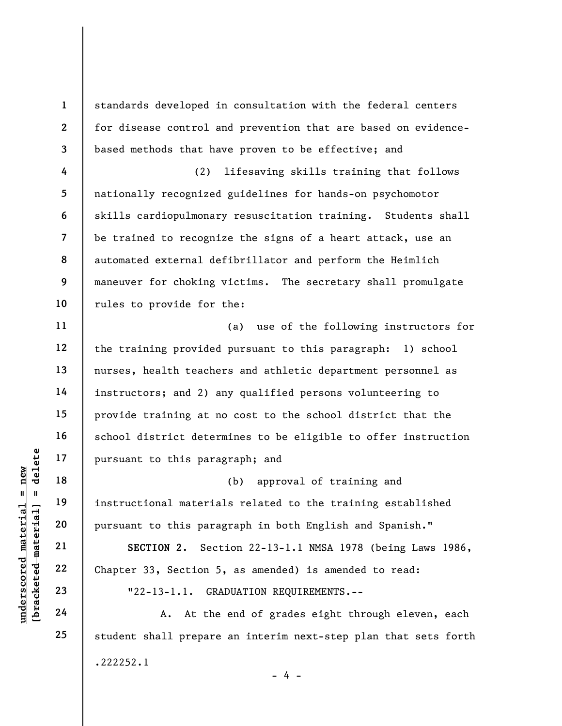8 standards developed in consultation with the federal centers for disease control and prevention that are based on evidencebased methods that have proven to be effective; and (2) lifesaving skills training that follows nationally recognized guidelines for hands-on psychomotor skills cardiopulmonary resuscitation training. Students shall be trained to recognize the signs of a heart attack, use an automated external defibrillator and perform the Heimlich maneuver for choking victims. The secretary shall promulgate rules to provide for the:

(a) use of the following instructors for the training provided pursuant to this paragraph: 1) school nurses, health teachers and athletic department personnel as instructors; and 2) any qualified persons volunteering to provide training at no cost to the school district that the school district determines to be eligible to offer instruction pursuant to this paragraph; and

underscored material = new [bracketed material] = delete (b) approval of training and instructional materials related to the training established pursuant to this paragraph in both English and Spanish."

SECTION 2. Section 22-13-1.1 NMSA 1978 (being Laws 1986, Chapter 33, Section 5, as amended) is amended to read: "22-13-1.1. GRADUATION REQUIREMENTS.--

A. At the end of grades eight through eleven, each student shall prepare an interim next-step plan that sets forth .222252.1  $- 4 -$ 

1

2

3

4

5

6

7

9

10

11

12

13

14

15

16

17

18

19

20

21

22

23

24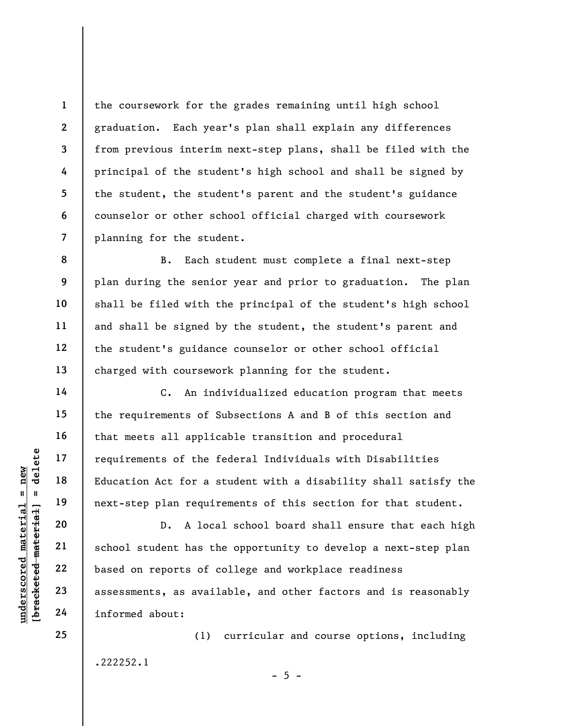the coursework for the grades remaining until high school graduation. Each year's plan shall explain any differences from previous interim next-step plans, shall be filed with the principal of the student's high school and shall be signed by the student, the student's parent and the student's guidance counselor or other school official charged with coursework planning for the student.

B. Each student must complete a final next-step plan during the senior year and prior to graduation. The plan shall be filed with the principal of the student's high school and shall be signed by the student, the student's parent and the student's guidance counselor or other school official charged with coursework planning for the student.

C. An individualized education program that meets the requirements of Subsections A and B of this section and that meets all applicable transition and procedural requirements of the federal Individuals with Disabilities Education Act for a student with a disability shall satisfy the next-step plan requirements of this section for that student.

underscore of the fitting and the material of the fitting in the matterial school student has the contract of contract as assessments, as avail informed about: D. A local school board shall ensure that each high school student has the opportunity to develop a next-step plan based on reports of college and workplace readiness assessments, as available, and other factors and is reasonably informed about:

.222252.1

 $- 5 -$ 

(1) curricular and course options, including

1

2

3

4

5

6

7

8

9

10

11

12

13

14

15

16

17

18

19

20

21

22

23

24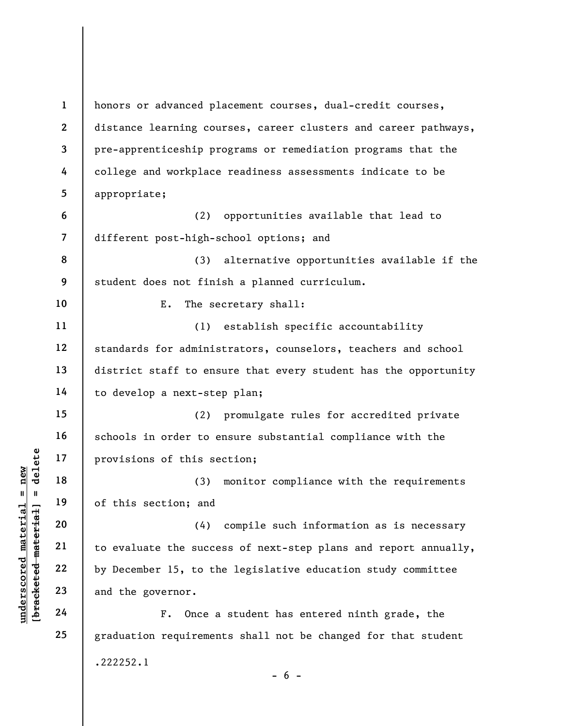understand material material experience of this section; and<br>
understand the section; and<br>
understand the succe<br>
who been the succe<br>
by December 15, to the<br>
23<br>
and the governor.<br>
24<br>
F. Once a 1 2 3 4 5 6 7 8 9 10 11 12 13 14 15 16 17 18 19 20 21 22 23 24 25 honors or advanced placement courses, dual-credit courses, distance learning courses, career clusters and career pathways, pre-apprenticeship programs or remediation programs that the college and workplace readiness assessments indicate to be appropriate; (2) opportunities available that lead to different post-high-school options; and (3) alternative opportunities available if the student does not finish a planned curriculum. E. The secretary shall: (1) establish specific accountability standards for administrators, counselors, teachers and school district staff to ensure that every student has the opportunity to develop a next-step plan; (2) promulgate rules for accredited private schools in order to ensure substantial compliance with the provisions of this section; (3) monitor compliance with the requirements of this section; and (4) compile such information as is necessary to evaluate the success of next-step plans and report annually, by December 15, to the legislative education study committee and the governor. F. Once a student has entered ninth grade, the graduation requirements shall not be changed for that student .222252.1  $- 6 -$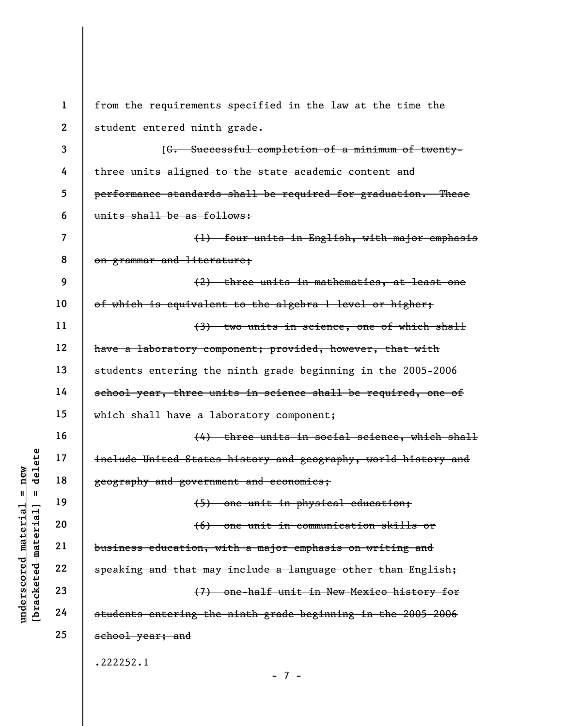$\begin{array}{c|c|c|c} \mathbf{u} & \mathbf{u} & \mathbf{v} & \mathbf{v} & \mathbf{v} & \mathbf{v} & \mathbf{v} & \mathbf{v} & \mathbf{v} & \mathbf{v} & \mathbf{v} & \mathbf{v} & \mathbf{v} & \mathbf{v} & \mathbf{v} & \mathbf{v} & \mathbf{v} & \mathbf{v} & \mathbf{v} & \mathbf{v} & \mathbf{v} & \mathbf{v} & \mathbf{v} & \mathbf{v} & \mathbf{v} & \mathbf{v} & \mathbf{v} & \mathbf{v} & \mathbf{v} & \mathbf{$ 1 2 3 4 5 6 7 8 9 10 11 12 13 14 15 16 17 18 19 20 21 22 23 24 25 from the requirements specified in the law at the time the student entered ninth grade. [G. Successful completion of a minimum of twentythree units aligned to the state academic content and performance standards shall be required for graduation. These units shall be as follows: (1) four units in English, with major emphasis on grammar and literature; (2) three units in mathematics, at least one of which is equivalent to the algebra 1 level or higher; (3) two units in science, one of which shall have a laboratory component; provided, however, that with students entering the ninth grade beginning in the 2005-2006 school year, three units in science shall be required, one of which shall have a laboratory component; (4) three units in social science, which shall include United States history and geography, world history and geography and government and economics; (5) one unit in physical education; (6) one unit in communication skills or business education, with a major emphasis on writing and speaking and that may include a language other than English; (7) one-half unit in New Mexico history for students entering the ninth grade beginning in the 2005-2006 school year; and .222252.1 - 7 -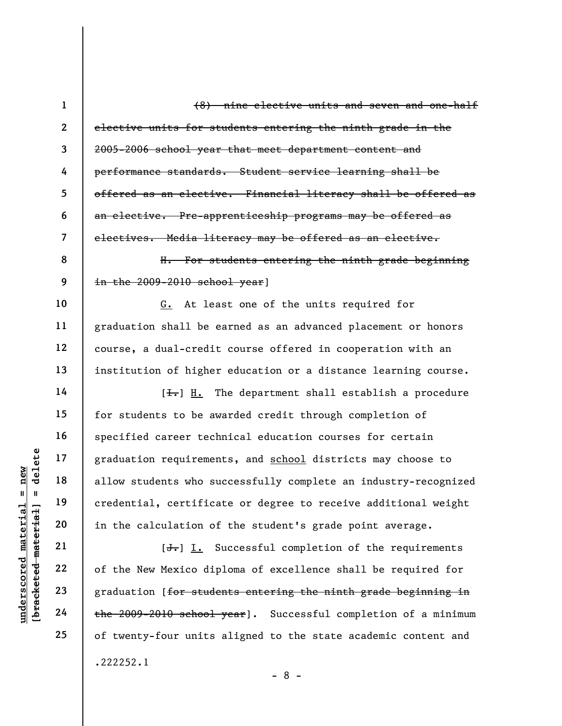under 17<br>
allow students who superior allow students who superior allow students who superior allow students who superior and the calculation of<br>
allow students who superior and the calculation of  $\begin{array}{c|c} \n\text{Equation of} & \text{Equation$ 2 3 4 5 6 7 8 9 10 11 12 13 14 15 16 17 18 19 20 21 22 23 24 25 elective units for students entering the ninth grade in the 2005-2006 school year that meet department content and performance standards. Student service learning shall be offered as an elective. Financial literacy shall be offered as an elective. Pre-apprenticeship programs may be offered as electives. Media literacy may be offered as an elective. H. For students entering the ninth grade beginning in the 2009-2010 school year] G. At least one of the units required for graduation shall be earned as an advanced placement or honors course, a dual-credit course offered in cooperation with an institution of higher education or a distance learning course.  $[\frac{1}{\sqrt{1}}]$  H. The department shall establish a procedure for students to be awarded credit through completion of specified career technical education courses for certain graduation requirements, and school districts may choose to allow students who successfully complete an industry-recognized credential, certificate or degree to receive additional weight in the calculation of the student's grade point average.  $[J<sub>r</sub>]$  I. Successful completion of the requirements of the New Mexico diploma of excellence shall be required for graduation [for students entering the ninth grade beginning in the 2009-2010 school year]. Successful completion of a minimum of twenty-four units aligned to the state academic content and .222252.1

(8) nine elective units and seven and one-half

1

- 8 -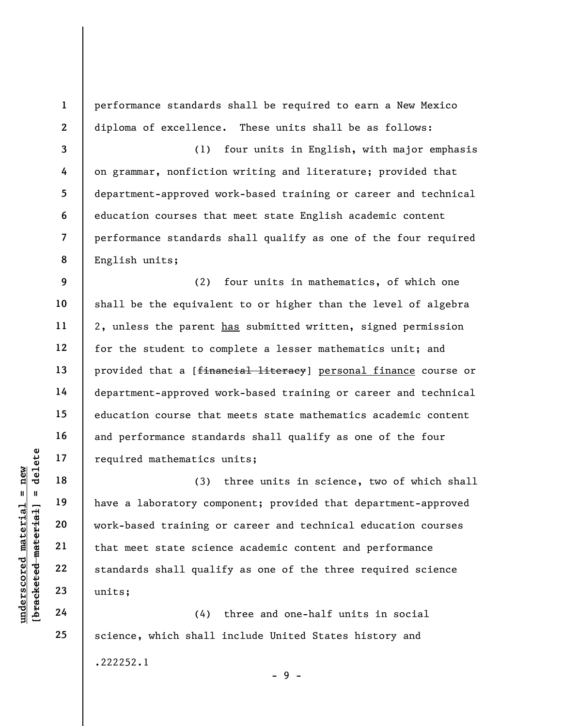1 2 3 4 5 6 7 8 9 10 11 12 13 14 15 16 17 performance standards shall be required to earn a New Mexico diploma of excellence. These units shall be as follows: (1) four units in English, with major emphasis on grammar, nonfiction writing and literature; provided that department-approved work-based training or career and technical education courses that meet state English academic content performance standards shall qualify as one of the four required English units; (2) four units in mathematics, of which one shall be the equivalent to or higher than the level of algebra 2, unless the parent has submitted written, signed permission for the student to complete a lesser mathematics unit; and provided that a [financial literacy] personal finance course or department-approved work-based training or career and technical education course that meets state mathematics academic content and performance standards shall qualify as one of the four required mathematics units;

underscored mathematics<br>  $\begin{bmatrix}\n1 & 1 & 1 & 1 \\
0 & 1 & 0 & 0 \\
0 & 0 & 0 & 0 \\
0 & 0 & 0 & 0 \\
0 & 0 & 0 & 0 \\
0 & 0 & 0 & 0 \\
0 & 0 & 0 & 0 \\
0 & 0 & 0 & 0 \\
0 & 0 & 0 & 0 \\
0 & 0 & 0 & 0 \\
0 & 0 & 0 & 0 \\
0 & 0 & 0 & 0 \\
0 & 0 & 0 & 0 \\
0 & 0 & 0 & 0 \\
0 & 0 & 0 & 0 \\
0 & 0 & 0 & 0 \\
0 & 0 & 0 & 0 \\
0 &$ (3) three units in science, two of which shall have a laboratory component; provided that department-approved work-based training or career and technical education courses that meet state science academic content and performance standards shall qualify as one of the three required science units;

(4) three and one-half units in social science, which shall include United States history and .222252.1  $-9 -$ 

18

19

20

21

22

23

24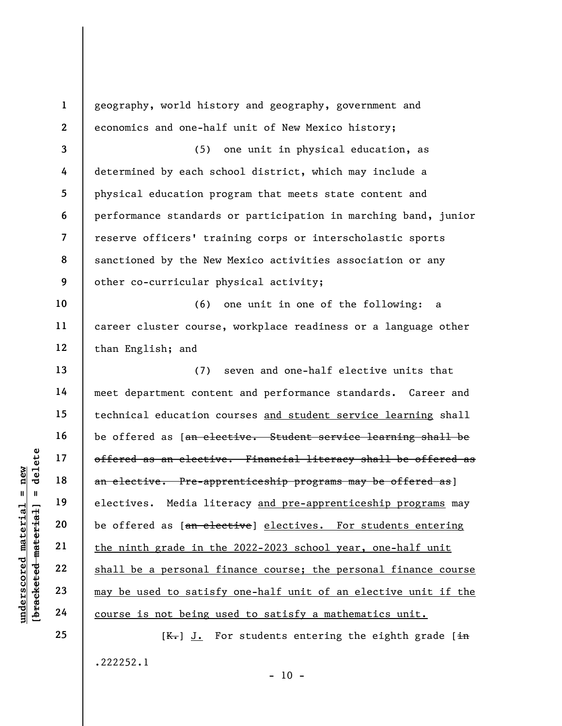underscores and the same offered as a telective<br>  $\begin{array}{c|c|c|c} \multicolumn{1}{c|}{\text{all}} & \multicolumn{1}{c}{\text{all}} & \multicolumn{1}{c}{\text{offerred as an electric}} \ \hline \multicolumn{1}{c}{\text{all}} & \multicolumn{1}{c}{\text{all}} & \multicolumn{1}{c}{\text{all}} & \multicolumn{1}{c}{\text{electives.} & \text{Media} & \text{lit} \ \hline \multicolumn{1}{c}{\text{all}} & \multicolumn{1}{c}{\text{al}}$ 1 2 3 4 5 6 7 8 9 10 11 12 13 14 15 16 17 18 19 20 21 22 23 24 25 geography, world history and geography, government and economics and one-half unit of New Mexico history; (5) one unit in physical education, as determined by each school district, which may include a physical education program that meets state content and performance standards or participation in marching band, junior reserve officers' training corps or interscholastic sports sanctioned by the New Mexico activities association or any other co-curricular physical activity; (6) one unit in one of the following: a career cluster course, workplace readiness or a language other than English; and (7) seven and one-half elective units that meet department content and performance standards. Career and technical education courses and student service learning shall be offered as [an elective. Student service learning shall be offered as an elective. Financial literacy shall be offered as an elective. Pre-apprenticeship programs may be offered as] electives. Media literacy and pre-apprenticeship programs may be offered as [an elective] electives. For students entering the ninth grade in the 2022-2023 school year, one-half unit shall be a personal finance course; the personal finance course may be used to satisfy one-half unit of an elective unit if the course is not being used to satisfy a mathematics unit.

 $[K-]$  J. For students entering the eighth grade  $\overline{in}$ .222252.1

 $- 10 -$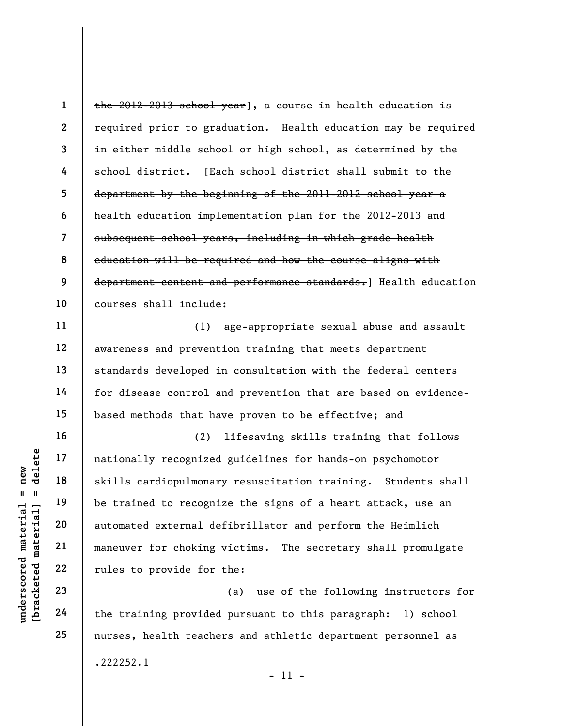1 2 3 4 5 6 7 8 9 10 the 2012-2013 school year], a course in health education is required prior to graduation. Health education may be required in either middle school or high school, as determined by the school district. [Each school district shall submit to the department by the beginning of the 2011-2012 school year a health education implementation plan for the 2012-2013 and subsequent school years, including in which grade health education will be required and how the course aligns with department content and performance standards.] Health education courses shall include:

(1) age-appropriate sexual abuse and assault awareness and prevention training that meets department standards developed in consultation with the federal centers for disease control and prevention that are based on evidencebased methods that have proven to be effective; and

underscored material = new [bracketed material] = delete (2) lifesaving skills training that follows nationally recognized guidelines for hands-on psychomotor skills cardiopulmonary resuscitation training. Students shall be trained to recognize the signs of a heart attack, use an automated external defibrillator and perform the Heimlich maneuver for choking victims. The secretary shall promulgate rules to provide for the:

(a) use of the following instructors for the training provided pursuant to this paragraph: 1) school nurses, health teachers and athletic department personnel as .222252.1

- 11 -

11

12

13

14

15

16

17

18

19

20

21

22

23

24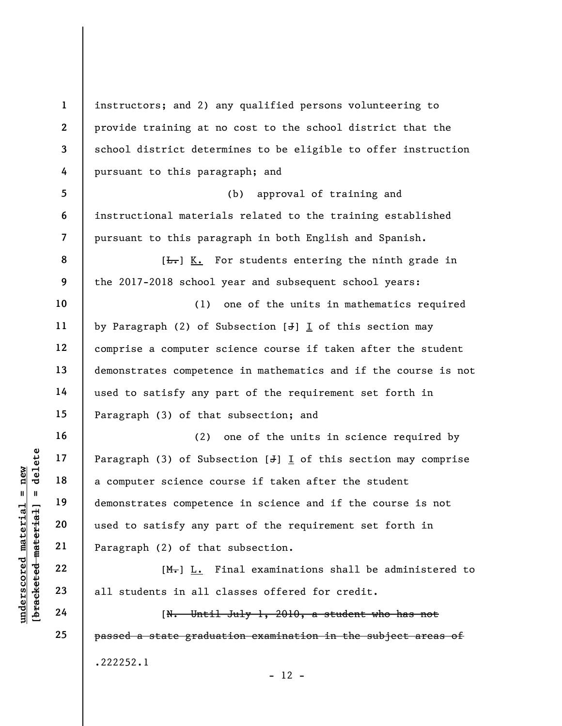underscored material = new [bracketed material] = delete 1 2 3 4 5 6 7 8 9 10 11 12 13 14 15 16 17 18 19 20 21 22 23 24 25 instructors; and 2) any qualified persons volunteering to provide training at no cost to the school district that the school district determines to be eligible to offer instruction pursuant to this paragraph; and (b) approval of training and instructional materials related to the training established pursuant to this paragraph in both English and Spanish.  $[\frac{L}{\sqrt{L}}]$  K. For students entering the ninth grade in the 2017-2018 school year and subsequent school years: (1) one of the units in mathematics required by Paragraph (2) of Subsection  $[J]$  I of this section may comprise a computer science course if taken after the student demonstrates competence in mathematics and if the course is not used to satisfy any part of the requirement set forth in Paragraph (3) of that subsection; and (2) one of the units in science required by Paragraph  $(3)$  of Subsection  $[J]$  I of this section may comprise a computer science course if taken after the student demonstrates competence in science and if the course is not used to satisfy any part of the requirement set forth in Paragraph (2) of that subsection. [M.] L. Final examinations shall be administered to all students in all classes offered for credit. [N. Until July 1, 2010, a student who has not passed a state graduation examination in the subject areas of .222252.1

 $- 12 -$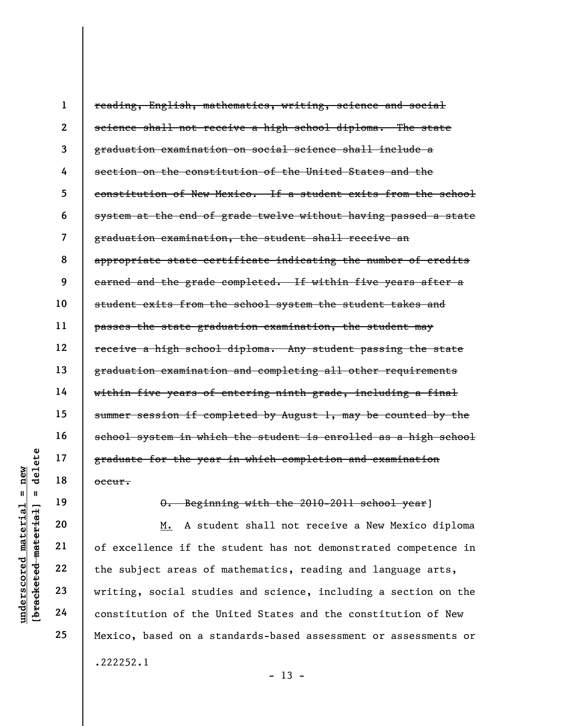1 2 3 4 5 6 7 8 9 10 11 12 13 14 15 16 17 18 reading, English, mathematics, writing, science and social science shall not receive a high school diploma. The state graduation examination on social science shall include a section on the constitution of the United States and the constitution of New Mexico. If a student exits from the school system at the end of grade twelve without having passed a state graduation examination, the student shall receive an appropriate state certificate indicating the number of credits earned and the grade completed. If within five years after a student exits from the school system the student takes and passes the state graduation examination, the student may receive a high school diploma. Any student passing the state graduation examination and completing all other requirements within five years of entering ninth grade, including a final summer session if completed by August 1, may be counted by the school system in which the student is enrolled as a high school graduate for the year in which completion and examination occur.

19

20

21

22

23

24

25

O. Beginning with the 2010-2011 school year]

 $\begin{array}{c|c|c} \mathbf{u} & \mathbf{u} & \mathbf{u} & \mathbf{v} & \mathbf{v} & \mathbf{v} & \mathbf{v} & \mathbf{v} & \mathbf{v} & \mathbf{v} & \mathbf{v} & \mathbf{v} & \mathbf{v} & \mathbf{v} & \mathbf{v} & \mathbf{v} & \mathbf{v} & \mathbf{v} & \mathbf{v} & \mathbf{v} & \mathbf{v} & \mathbf{v} & \mathbf{v} & \mathbf{v} & \mathbf{v} & \mathbf{v} & \mathbf{v} & \mathbf{v} & \mathbf{v} & \mathbf{v}$ M. A student shall not receive a New Mexico diploma of excellence if the student has not demonstrated competence in the subject areas of mathematics, reading and language arts, writing, social studies and science, including a section on the constitution of the United States and the constitution of New Mexico, based on a standards-based assessment or assessments or .222252.1

 $- 13 -$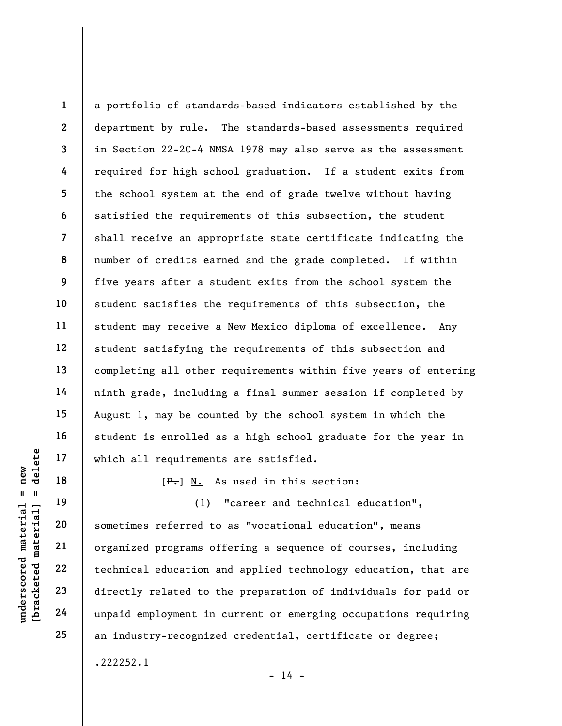1 2 3 4 5 6 7 8 9 10 11 12 13 14 15 16 17 a portfolio of standards-based indicators established by the department by rule. The standards-based assessments required in Section 22-2C-4 NMSA 1978 may also serve as the assessment required for high school graduation. If a student exits from the school system at the end of grade twelve without having satisfied the requirements of this subsection, the student shall receive an appropriate state certificate indicating the number of credits earned and the grade completed. If within five years after a student exits from the school system the student satisfies the requirements of this subsection, the student may receive a New Mexico diploma of excellence. Any student satisfying the requirements of this subsection and completing all other requirements within five years of entering ninth grade, including a final summer session if completed by August 1, may be counted by the school system in which the student is enrolled as a high school graduate for the year in which all requirements are satisfied.

 $[F-]$  N. As used in this section:

underscored to the same of the same of the same of the same of the same of the same of the same of the same of the same of the same of the same of the same of the same of the same of the same of the same of the same of the (1) "career and technical education", sometimes referred to as "vocational education", means organized programs offering a sequence of courses, including technical education and applied technology education, that are directly related to the preparation of individuals for paid or unpaid employment in current or emerging occupations requiring an industry-recognized credential, certificate or degree; .222252.1

18

19

20

21

22

23

24

25

 $- 14 -$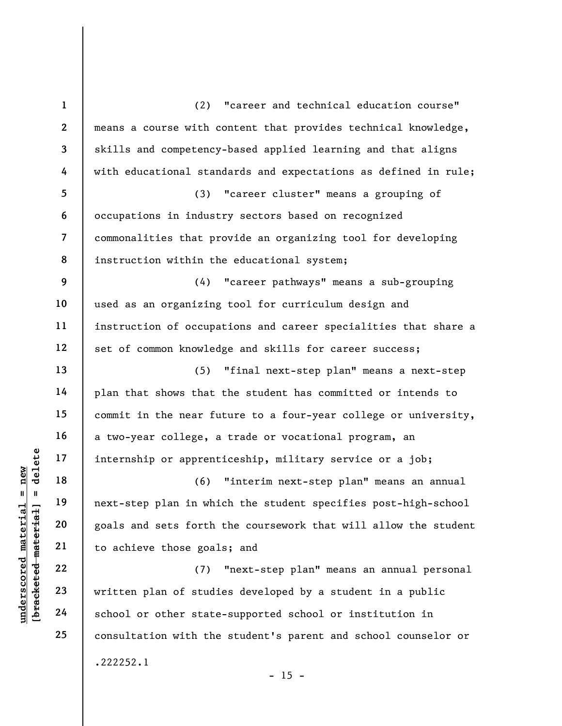understand material material internship or apprent<br>  $\begin{bmatrix}\n1 & 1 & 1 & 1 \\
0 & 1 & 1 & 1 & 1 \\
0 & 0 & 0 & 0 & 0 \\
0 & 0 & 0 & 0 & 0 & 0 \\
0 & 0 & 0 & 0 & 0 & 0 \\
0 & 0 & 0 & 0 & 0 & 0 \\
0 & 0 & 0 & 0 & 0 & 0 \\
0 & 0 & 0 & 0 & 0 & 0 \\
0 & 0 & 0 & 0 & 0 & 0 \\
0 & 0 & 0 & 0 & 0 & 0 \\
0 & 0$ 1 2 3 4 5 6 7 8 9 10 11 12 13 14 15 16 17 18 19 20 21 22 23 24 25 (2) "career and technical education course" means a course with content that provides technical knowledge, skills and competency-based applied learning and that aligns with educational standards and expectations as defined in rule; (3) "career cluster" means a grouping of occupations in industry sectors based on recognized commonalities that provide an organizing tool for developing instruction within the educational system; (4) "career pathways" means a sub-grouping used as an organizing tool for curriculum design and instruction of occupations and career specialities that share a set of common knowledge and skills for career success; (5) "final next-step plan" means a next-step plan that shows that the student has committed or intends to commit in the near future to a four-year college or university, a two-year college, a trade or vocational program, an internship or apprenticeship, military service or a job; (6) "interim next-step plan" means an annual next-step plan in which the student specifies post-high-school goals and sets forth the coursework that will allow the student to achieve those goals; and (7) "next-step plan" means an annual personal written plan of studies developed by a student in a public school or other state-supported school or institution in consultation with the student's parent and school counselor or .222252.1

 $- 15 -$